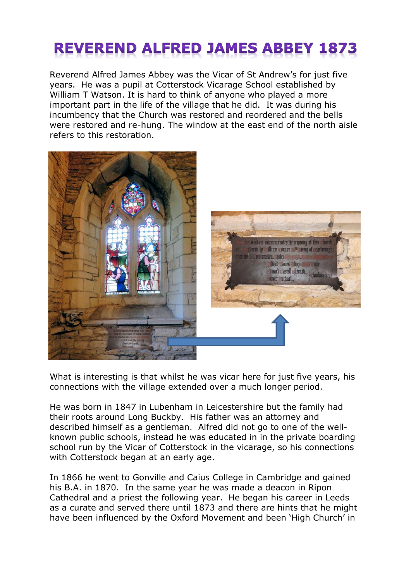## **REVEREND ALFRED JAMES ABBEY 1873**

Reverend Alfred James Abbey was the Vicar of St Andrew's for just five years. He was a pupil at Cotterstock Vicarage School established by William T Watson. It is hard to think of anyone who played a more important part in the life of the village that he did. It was during his incumbency that the Church was restored and reordered and the bells were restored and re-hung. The window at the east end of the north aisle refers to this restoration.



What is interesting is that whilst he was vicar here for just five years, his connections with the village extended over a much longer period.

He was born in 1847 in Lubenham in Leicestershire but the family had their roots around Long Buckby. His father was an attorney and described himself as a gentleman. Alfred did not go to one of the wellknown public schools, instead he was educated in in the private boarding school run by the Vicar of Cotterstock in the vicarage, so his connections with Cotterstock began at an early age.

In 1866 he went to Gonville and Caius College in Cambridge and gained his B.A. in 1870. In the same year he was made a deacon in Ripon Cathedral and a priest the following year. He began his career in Leeds as a curate and served there until 1873 and there are hints that he might have been influenced by the Oxford Movement and been 'High Church' in